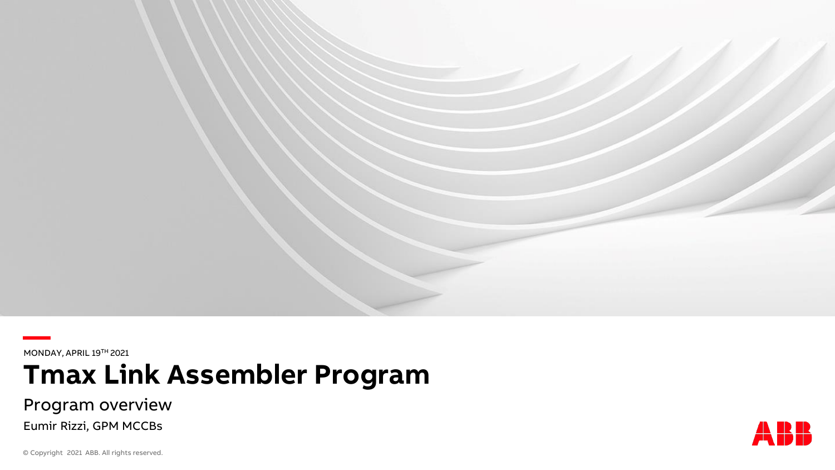

**—** MONDAY, APRIL 19TH 2021

**Tmax Link Assembler Program**

Program overview

Eumir Rizzi, GPM MCCBs

© Copyright 2021 ABB. All rights reserved.

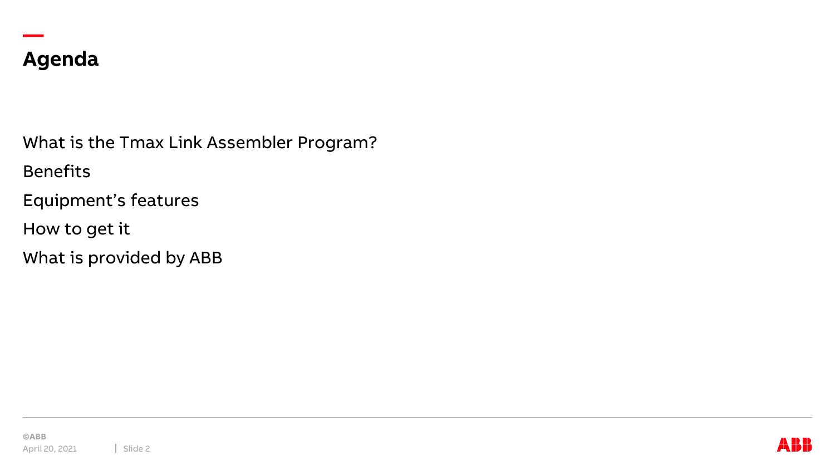

**—**

What is the Tmax Link Assembler Program?

Benefits

Equipment's features

How to get it

What is provided by ABB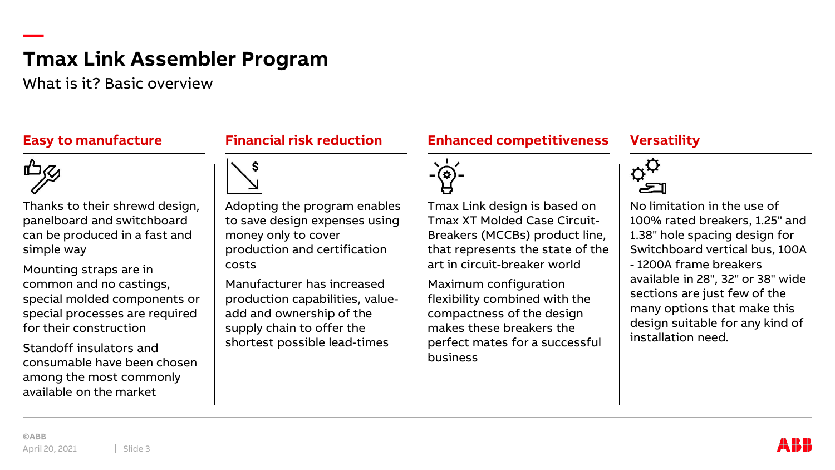What is it? Basic overview

#### **Easy to manufacture**



**—**

Thanks to their shrewd design, panelboard and switchboard can be produced in a fast and simple way

Mounting straps are in common and no castings, special molded components or special processes are required for their construction

Standoff insulators and consumable have been chosen among the most commonly available on the market

# **Financial risk reduction**



Adopting the program enables to save design expenses using money only to cover production and certification costs

Manufacturer has increased production capabilities, valueadd and ownership of the supply chain to offer the shortest possible lead-times

#### **Enhanced competitiveness**



Tmax Link design is based on Tmax XT Molded Case Circuit-Breakers (MCCBs) product line, that represents the state of the art in circuit-breaker world

Maximum configuration flexibility combined with the compactness of the design makes these breakers the perfect mates for a successful business

# **Versatility**



No limitation in the use of 100% rated breakers, 1.25" and 1.38" hole spacing design for Switchboard vertical bus, 100A - 1200A frame breakers available in 28", 32" or 38" wide sections are just few of the many options that make this design suitable for any kind of installation need.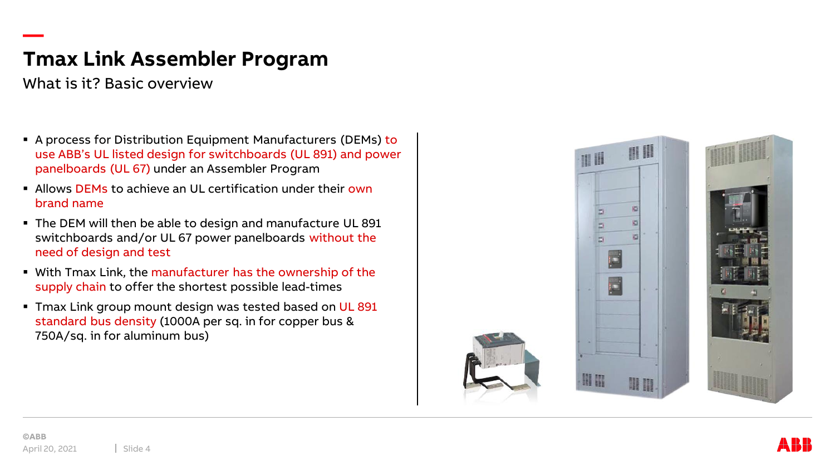What is it? Basic overview

**—**

- A process for Distribution Equipment Manufacturers (DEMs) to use ABB's UL listed design for switchboards (UL 891) and power panelboards (UL 67) under an Assembler Program
- Allows DEMs to achieve an UL certification under their own brand name
- The DEM will then be able to design and manufacture UL 891 switchboards and/or UL 67 power panelboards without the need of design and test
- **.** With Tmax Link, the manufacturer has the ownership of the supply chain to offer the shortest possible lead-times
- **The Theory Controller Theory Control Theory Theory Control Theory Theory Control Controller Controller Controller Controller Controller Controller Controller Controller Controller Controller Cont** standard bus density (1000A per sq. in for copper bus & 750A/sq. in for aluminum bus)

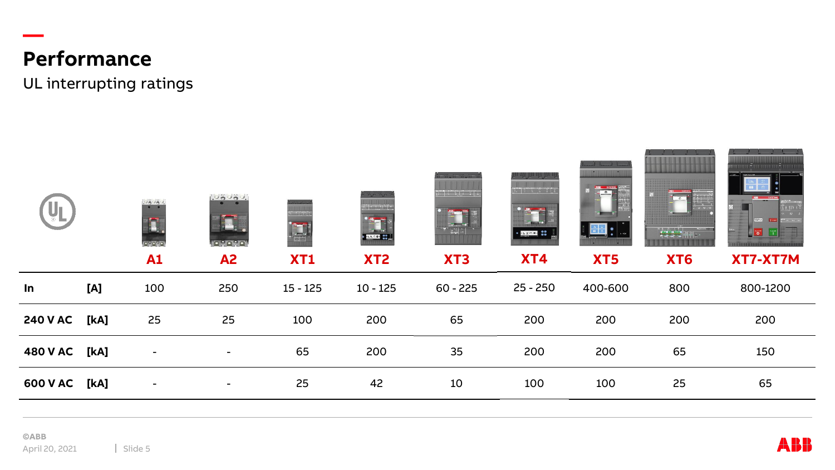# **Performance**

**—**

UL interrupting ratings

|                 |      | 100000<br>T,<br><u>ingnyni</u><br>A1 | 100000<br><b>TANK</b><br><u>iesese</u><br><b>A2</b> | $\mathbb{C} \times \mathbb{C}[\mathbb{R}]$<br>$\begin{array}{c} \begin{array}{c} \text{ } \text{ } \end{array} \end{array}$<br>XT1 | <b>THE TABLE</b><br>$\epsilon + \pi +$<br><b>Est</b> .<br>skool <mark>ee</mark> j<br>XT <sub>2</sub> | bengar digara<br>$\mathbb{R}^n$ is the set of $\mathbb{R}^n$<br>XT <sub>3</sub> | 化甲甲基<br>chens (sien)<br>LEOG. SO<br><b>XT4</b> | <b>ISSUED FRIDE</b><br><b>IM BATETHA</b><br>$\overline{\sigma}$<br>XT5 | XT6 | <b>INSTITUTION IN</b><br><b>SEVAN   1994</b><br>$\begin{bmatrix} 25 \\ 0 \end{bmatrix}$<br>XT7-XT7M |
|-----------------|------|--------------------------------------|-----------------------------------------------------|------------------------------------------------------------------------------------------------------------------------------------|------------------------------------------------------------------------------------------------------|---------------------------------------------------------------------------------|------------------------------------------------|------------------------------------------------------------------------|-----|-----------------------------------------------------------------------------------------------------|
| In              | [A]  | 100                                  | 250                                                 | $15 - 125$                                                                                                                         | $10 - 125$                                                                                           | $60 - 225$                                                                      | $25 - 250$                                     | 400-600                                                                | 800 | 800-1200                                                                                            |
| <b>240 V AC</b> | [kA] | 25                                   | 25                                                  | 100                                                                                                                                | 200                                                                                                  | 65                                                                              | 200                                            | 200                                                                    | 200 | 200                                                                                                 |
| 480 V AC [kA]   |      | $\overline{\phantom{a}}$             |                                                     | 65                                                                                                                                 | 200                                                                                                  | 35                                                                              | 200                                            | 200                                                                    | 65  | 150                                                                                                 |
| 600 V AC [kA]   |      | $\sim$                               | $\sim$                                              | 25                                                                                                                                 | 42                                                                                                   | 10                                                                              | 100                                            | 100                                                                    | 25  | 65                                                                                                  |
|                 |      |                                      |                                                     |                                                                                                                                    |                                                                                                      |                                                                                 |                                                |                                                                        |     |                                                                                                     |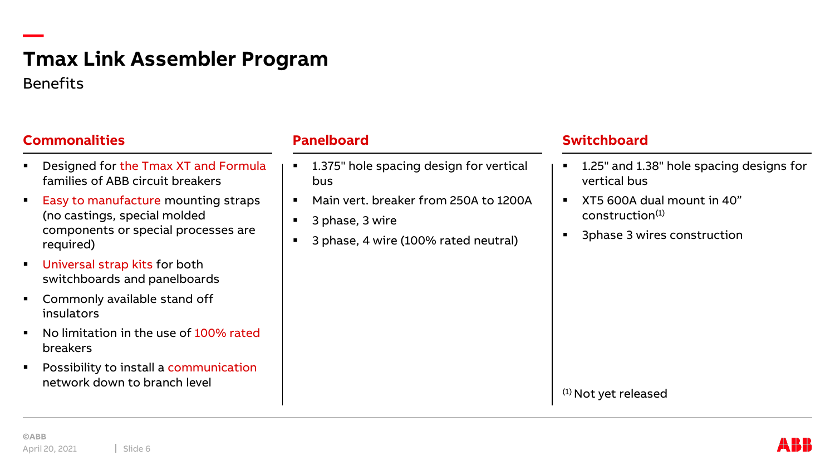# **— Tmax Link Assembler Program** Benefits

#### **Commonalities**

- Designed for the Tmax XT and Formula families of ABB circuit breakers
- Easy to manufacture mounting straps (no castings, special molded components or special processes are required)
- Universal strap kits for both switchboards and panelboards
- Commonly available stand off insulators
- No limitation in the use of 100% rated breakers
- Possibility to install a communication network down to branch level

#### **Panelboard**

- 1.375" hole spacing design for vertical bus
- Main vert. breaker from 250A to 1200A
- 3 phase, 3 wire
- 3 phase, 4 wire (100% rated neutral)

#### **Switchboard**

- 1.25" and 1.38" hole spacing designs for vertical bus
- XT5 600A dual mount in 40"  $construction<sup>(1)</sup>$
- 3phase 3 wires construction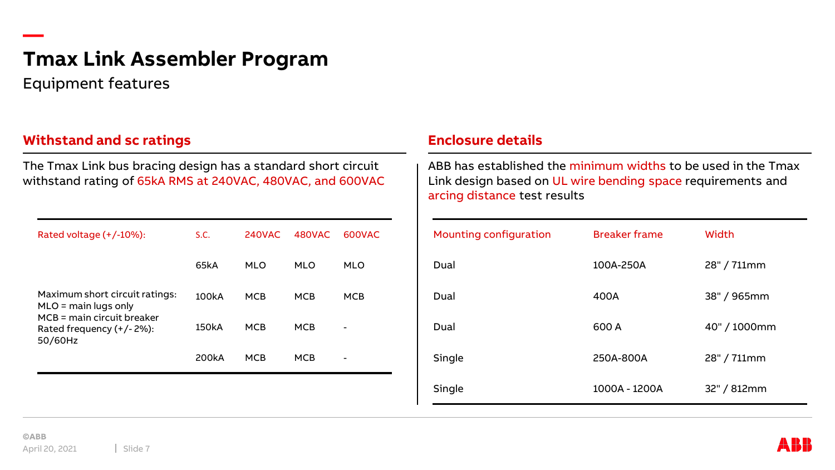Equipment features

**—**

## **Withstand and sc ratings Enclosure details**

The Tmax Link bus bracing design has a standard short circuit withstand rating of 65kA RMS at 240VAC, 480VAC, and 600VAC

| Rated voltage (+/-10%):                                                  | S.C.               | 240VAC     | 480VAC     | 600VAC     |
|--------------------------------------------------------------------------|--------------------|------------|------------|------------|
|                                                                          | 65kA               | <b>MLO</b> | <b>MLO</b> | <b>MLO</b> |
| Maximum short circuit ratings:<br>$MLO = \text{main}$ lugs only          | 100kA              | <b>MCB</b> | <b>MCB</b> | MCB        |
| $MCB = main circuit breaker$<br>Rated frequency $(+/- 2\%)$ :<br>50/60Hz | 150kA              | <b>MCB</b> | <b>MCB</b> |            |
|                                                                          | 200 <sub>k</sub> A | <b>MCB</b> | <b>MCB</b> |            |
|                                                                          |                    |            |            |            |

ABB has established the minimum widths to be used in the Tmax Link design based on UL wire bending space requirements and arcing distance test results

| <b>Mounting configuration</b> | <b>Breaker frame</b> | Width        |
|-------------------------------|----------------------|--------------|
| Dual                          | 100A-250A            | 28" / 711mm  |
| Dual                          | 400A                 | 38" / 965mm  |
| Dual                          | 600 A                | 40" / 1000mm |
| Single                        | 250A-800A            | 28" / 711mm  |
| Single                        | 1000A - 1200A        | 32" / 812mm  |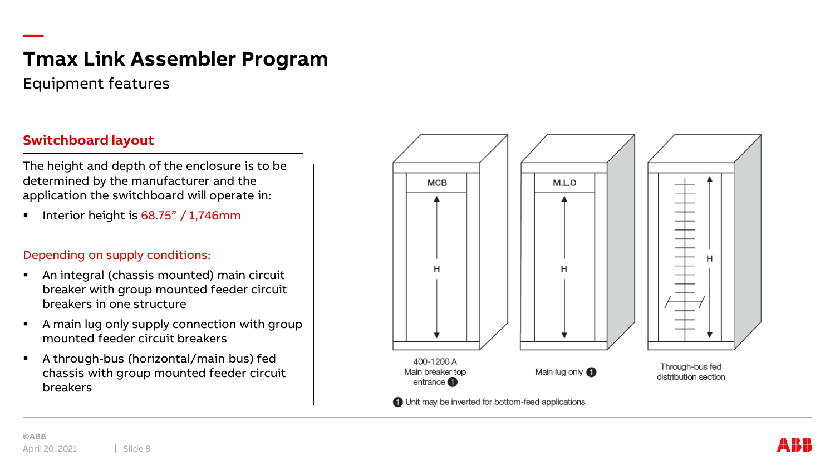Equipment features

**—**

# **Switchboard layout**

The height and depth of the enclosure is to be determined by the manufacturer and the application the switchboard will operate in:

Interior height is  $68.75" / 1,746$ mm

#### Depending on supply conditions:

- An integral (chassis mounted) main circuit breaker with group mounted feeder circuit breakers in one structure
- A main lug only supply connection with group mounted feeder circuit breakers
- A through-bus (horizontal/main bus) fed chassis with group mounted feeder circuit breakers

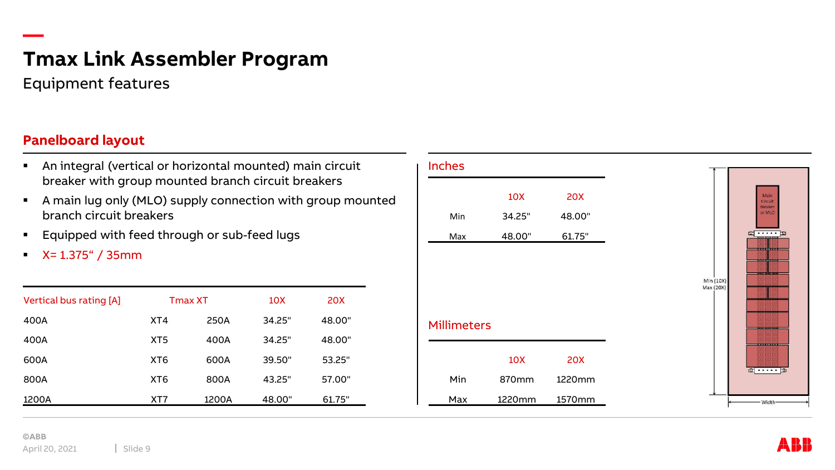Equipment features

### **Panelboard layout**

**—**

- An integral (vertical or horizontal mounted) main circuit breaker with group mounted branch circuit breakers
- A main lug only (MLO) supply connection with group mounted branch circuit breakers
- Equipped with feed through or sub-feed lugs
- $\blacktriangleright$  X= 1.375" / 35mm

| Vertical bus rating [A] | <b>Tmax XT</b>  |       | 10X    | <b>20X</b> |
|-------------------------|-----------------|-------|--------|------------|
| 400A                    | XT4             | 250A  | 34.25" | 48.00"     |
| 400A                    | XT <sub>5</sub> | 400A  | 34.25" | 48.00"     |
| 600A                    | XT <sub>6</sub> | 600A  | 39.50" | 53.25"     |
| 800A                    | XT <sub>6</sub> | 800A  | 43.25" | 57.00"     |
| 1200A                   | XT7             | 1200A | 48.00" | 61.75"     |

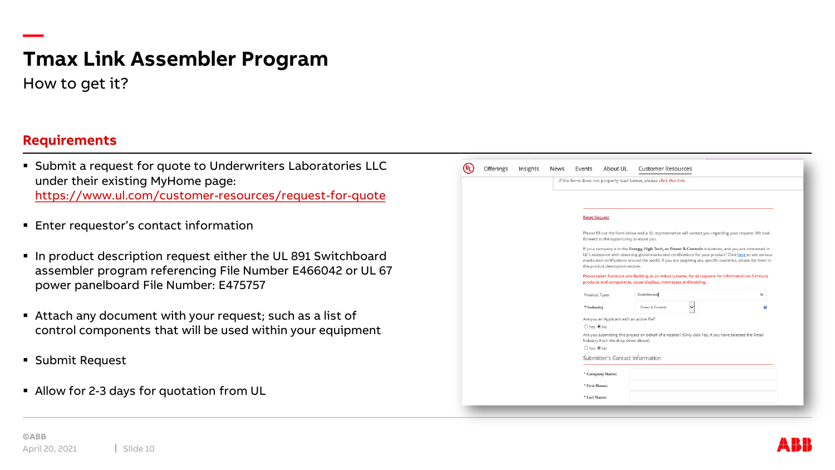How to get it?

**—**

### **Requirements**

- **EX Submit a request for quote to Underwriters Laboratories LLC** under their existing MyHome page: <https://www.ul.com/customer-resources/request-for-quote>
- **Enter requestor's contact information**
- In product description request either the UL 891 Switchboard assembler program referencing File Number E466042 or UL 67 power panelboard File Number: E475757
- **EXTERN** Attach any document with your request; such as a list of control components that will be used within your equipment
- Submit Request
- Allow for 2-3 days for quotation from UL

| Offerings | Insights<br>News | Events                                                                                                                                                                                                                                                                                                                                                                  | About UL                                                                                                                                        | <b>Customer Resources</b>                                         |          |  |  |  |
|-----------|------------------|-------------------------------------------------------------------------------------------------------------------------------------------------------------------------------------------------------------------------------------------------------------------------------------------------------------------------------------------------------------------------|-------------------------------------------------------------------------------------------------------------------------------------------------|-------------------------------------------------------------------|----------|--|--|--|
|           |                  |                                                                                                                                                                                                                                                                                                                                                                         |                                                                                                                                                 | If the form does not properly load below, please click this link. |          |  |  |  |
|           |                  |                                                                                                                                                                                                                                                                                                                                                                         |                                                                                                                                                 |                                                                   |          |  |  |  |
|           |                  | <b>Reset Request</b>                                                                                                                                                                                                                                                                                                                                                    |                                                                                                                                                 |                                                                   |          |  |  |  |
|           |                  | Please fill out the form below and a UL representative will contact you regarding your request. We look<br>forward to the opportunity to assist you.                                                                                                                                                                                                                    |                                                                                                                                                 |                                                                   |          |  |  |  |
|           |                  | If your company is in the Energy, High Tech, or Power & Controls industries, and you are interested in<br>UL's assistance with obtaining global marks and certifications for your product? Click here to see various<br>marks and certifications around the world. If you are targeting any specific countries, please list them in<br>the product description section. |                                                                                                                                                 |                                                                   |          |  |  |  |
|           |                  | Please select Furniture and Bedding as an industry name, for all requests for information on furniture<br>products and components, visual displays, mattresses and bedding.                                                                                                                                                                                             |                                                                                                                                                 |                                                                   |          |  |  |  |
|           |                  | Product Type:                                                                                                                                                                                                                                                                                                                                                           |                                                                                                                                                 | Switchboard                                                       | $\times$ |  |  |  |
|           |                  | * Industry                                                                                                                                                                                                                                                                                                                                                              |                                                                                                                                                 | Power & Controls                                                  |          |  |  |  |
|           |                  |                                                                                                                                                                                                                                                                                                                                                                         | Are you an Applicant with an active file?                                                                                                       |                                                                   |          |  |  |  |
|           |                  |                                                                                                                                                                                                                                                                                                                                                                         | ○Yes ●No                                                                                                                                        |                                                                   |          |  |  |  |
|           |                  |                                                                                                                                                                                                                                                                                                                                                                         | Are you submitting this project on behalf of a retailer? (Only click Yes, if you have selected the Retail<br>Industry from the drop down above) |                                                                   |          |  |  |  |
|           |                  | $OYes$ $@$ $No$                                                                                                                                                                                                                                                                                                                                                         |                                                                                                                                                 |                                                                   |          |  |  |  |
|           |                  | Submitter's Contact Information                                                                                                                                                                                                                                                                                                                                         |                                                                                                                                                 |                                                                   |          |  |  |  |
|           |                  | * Company Name:                                                                                                                                                                                                                                                                                                                                                         |                                                                                                                                                 |                                                                   |          |  |  |  |
|           |                  | * First Name:                                                                                                                                                                                                                                                                                                                                                           |                                                                                                                                                 |                                                                   |          |  |  |  |
|           |                  | * Last Name:                                                                                                                                                                                                                                                                                                                                                            |                                                                                                                                                 |                                                                   |          |  |  |  |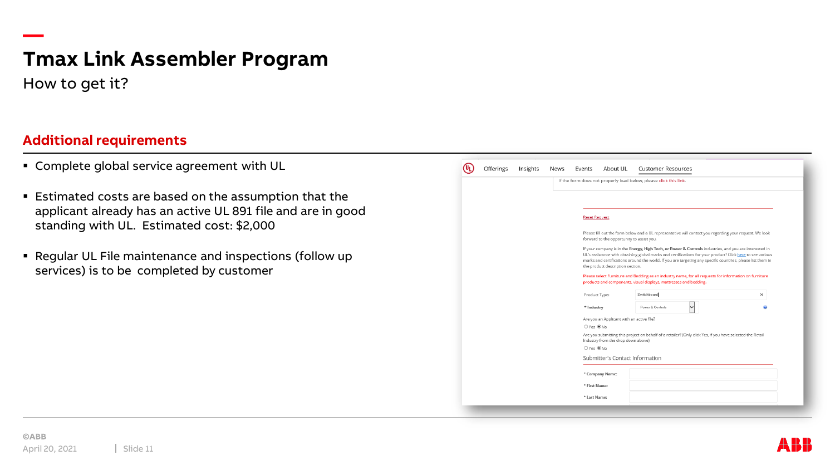How to get it?

**—**

### **Additional requirements**

- **EX Complete global service agreement with UL**
- **Estimated costs are based on the assumption that the** applicant already has an active UL 891 file and are in good standing with UL. Estimated cost: \$2,000
- Regular UL File maintenance and inspections (follow up services) is to be completed by customer

| Offerings | Insights | News | Events            | About UL                                                                                                                                                                                                                                                                                                                                                                | <b>Customer Resources</b>                                                                                 |   |  |  |  |  |
|-----------|----------|------|-------------------|-------------------------------------------------------------------------------------------------------------------------------------------------------------------------------------------------------------------------------------------------------------------------------------------------------------------------------------------------------------------------|-----------------------------------------------------------------------------------------------------------|---|--|--|--|--|
|           |          |      |                   |                                                                                                                                                                                                                                                                                                                                                                         | If the form does not properly load below, please click this link.                                         |   |  |  |  |  |
|           |          |      |                   |                                                                                                                                                                                                                                                                                                                                                                         |                                                                                                           |   |  |  |  |  |
|           |          |      |                   |                                                                                                                                                                                                                                                                                                                                                                         |                                                                                                           |   |  |  |  |  |
|           |          |      |                   | <b>Reset Request</b>                                                                                                                                                                                                                                                                                                                                                    |                                                                                                           |   |  |  |  |  |
|           |          |      |                   | Please fill out the form below and a UL representative will contact you regarding your request. We look<br>forward to the opportunity to assist you.                                                                                                                                                                                                                    |                                                                                                           |   |  |  |  |  |
|           |          |      |                   | If your company is in the Energy, High Tech, or Power & Controls industries, and you are interested in<br>UL's assistance with obtaining global marks and certifications for your product? Click here to see various<br>marks and certifications around the world. If you are targeting any specific countries, please list them in<br>the product description section. |                                                                                                           |   |  |  |  |  |
|           |          |      |                   | Please select Furniture and Bedding as an industry name, for all requests for information on furniture<br>products and components, visual displays, mattresses and bedding.                                                                                                                                                                                             |                                                                                                           |   |  |  |  |  |
|           |          |      | Product Type:     |                                                                                                                                                                                                                                                                                                                                                                         | Switchboard                                                                                               | × |  |  |  |  |
|           |          |      | * Industry        |                                                                                                                                                                                                                                                                                                                                                                         | Power & Controls<br>◡                                                                                     |   |  |  |  |  |
|           |          |      |                   | Are you an Applicant with an active file?                                                                                                                                                                                                                                                                                                                               |                                                                                                           |   |  |  |  |  |
|           |          |      | ○Yes ●No          |                                                                                                                                                                                                                                                                                                                                                                         |                                                                                                           |   |  |  |  |  |
|           |          |      |                   | Industry from the drop down above)                                                                                                                                                                                                                                                                                                                                      | Are you submitting this project on behalf of a retailer? (Only click Yes, if you have selected the Retail |   |  |  |  |  |
|           |          |      | $OYes$ $\odot$ No |                                                                                                                                                                                                                                                                                                                                                                         |                                                                                                           |   |  |  |  |  |
|           |          |      |                   | Submitter's Contact Information                                                                                                                                                                                                                                                                                                                                         |                                                                                                           |   |  |  |  |  |
|           |          |      |                   | * Company Name:                                                                                                                                                                                                                                                                                                                                                         |                                                                                                           |   |  |  |  |  |
|           |          |      | * First Name:     |                                                                                                                                                                                                                                                                                                                                                                         |                                                                                                           |   |  |  |  |  |
|           |          |      | * Last Name:      |                                                                                                                                                                                                                                                                                                                                                                         |                                                                                                           |   |  |  |  |  |
|           |          |      |                   |                                                                                                                                                                                                                                                                                                                                                                         |                                                                                                           |   |  |  |  |  |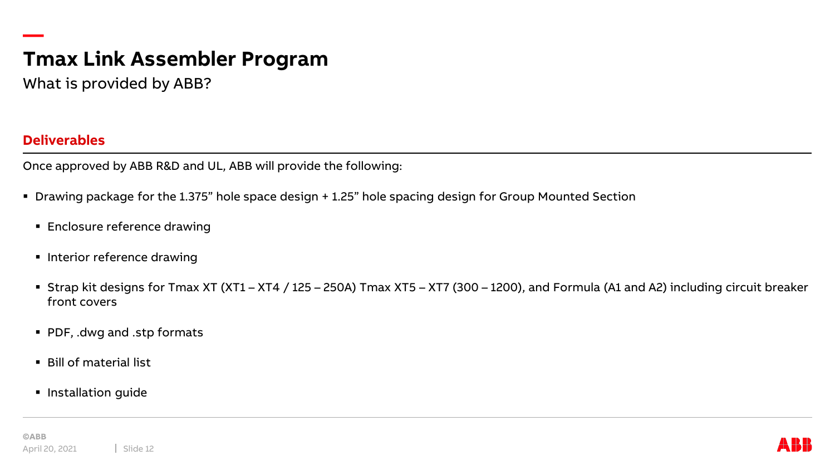What is provided by ABB?

#### **Deliverables**

**—**

Once approved by ABB R&D and UL, ABB will provide the following:

- Drawing package for the 1.375" hole space design + 1.25" hole spacing design for Group Mounted Section
	- **Enclosure reference drawing**
	- **·** Interior reference drawing
	- Strap kit designs for Tmax XT (XT1 XT4 / 125 250A) Tmax XT5 XT7 (300 1200), and Formula (A1 and A2) including circuit breaker front covers
	- PDF, .dwg and .stp formats
	- Bill of material list
	- **·** Installation guide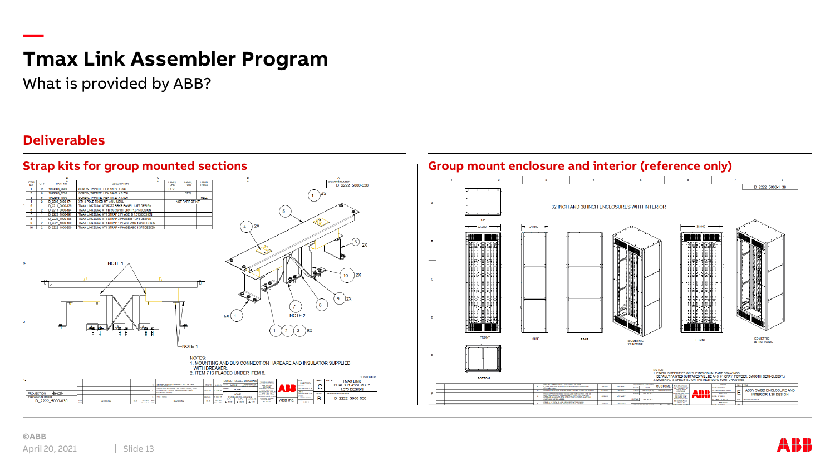What is provided by ABB?

#### **Deliverables**

**—**